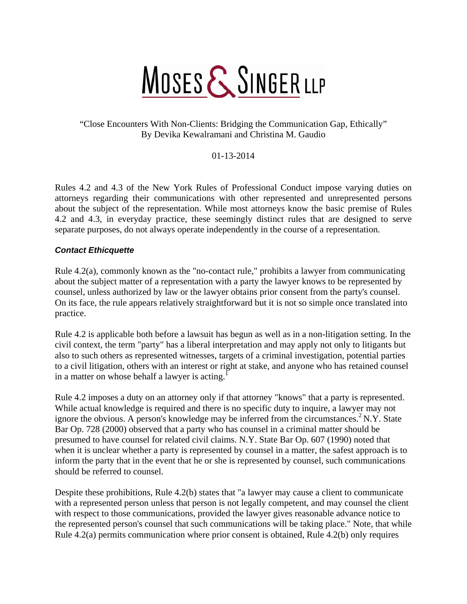# MOSES & SINGER LLP

### "Close Encounters With Non-Clients: Bridging the Communication Gap, Ethically" By Devika Kewalramani and Christina M. Gaudio

01-13-2014

Rules 4.2 and 4.3 of the New York Rules of Professional Conduct impose varying duties on attorneys regarding their communications with other represented and unrepresented persons about the subject of the representation. While most attorneys know the basic premise of Rules 4.2 and 4.3, in everyday practice, these seemingly distinct rules that are designed to serve separate purposes, do not always operate independently in the course of a representation.

#### *Contact Ethicquette*

Rule 4.2(a), commonly known as the "no-contact rule," prohibits a lawyer from communicating about the subject matter of a representation with a party the lawyer knows to be represented by counsel, unless authorized by law or the lawyer obtains prior consent from the party's counsel. On its face, the rule appears relatively straightforward but it is not so simple once translated into practice.

Rule 4.2 is applicable both before a lawsuit has begun as well as in a non-litigation setting. In the civil context, the term "party" has a liberal interpretation and may apply not only to litigants but also to such others as represented witnesses, targets of a criminal investigation, potential parties to a civil litigation, others with an interest or right at stake, and anyone who has retained counsel in a matter on whose behalf a lawyer is acting.<sup>1</sup>

Rule 4.2 imposes a duty on an attorney only if that attorney "knows" that a party is represented. While actual knowledge is required and there is no specific duty to inquire, a lawyer may not ignore the obvious. A person's knowledge may be inferred from the circumstances.<sup>2</sup> N.Y. State Bar Op. 728 (2000) observed that a party who has counsel in a criminal matter should be presumed to have counsel for related civil claims. N.Y. State Bar Op. 607 (1990) noted that when it is unclear whether a party is represented by counsel in a matter, the safest approach is to inform the party that in the event that he or she is represented by counsel, such communications should be referred to counsel.

Despite these prohibitions, Rule 4.2(b) states that "a lawyer may cause a client to communicate with a represented person unless that person is not legally competent, and may counsel the client with respect to those communications, provided the lawyer gives reasonable advance notice to the represented person's counsel that such communications will be taking place." Note, that while Rule 4.2(a) permits communication where prior consent is obtained, Rule 4.2(b) only requires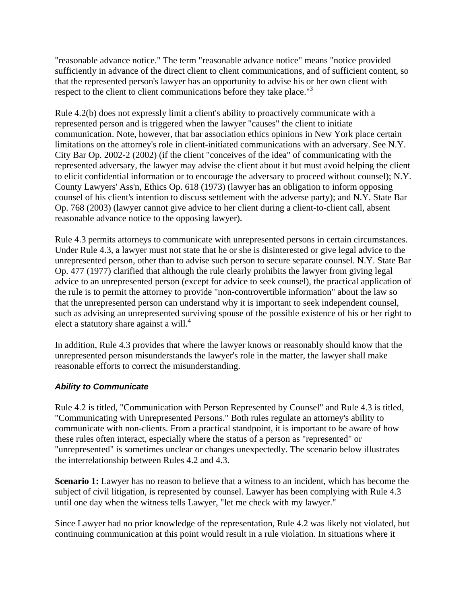"reasonable advance notice." The term "reasonable advance notice" means "notice provided sufficiently in advance of the direct client to client communications, and of sufficient content, so that the represented person's lawyer has an opportunity to advise his or her own client with respect to the client to client communications before they take place."<sup>3</sup>

Rule 4.2(b) does not expressly limit a client's ability to proactively communicate with a represented person and is triggered when the lawyer "causes" the client to initiate communication. Note, however, that bar association ethics opinions in New York place certain limitations on the attorney's role in client-initiated communications with an adversary. See N.Y. City Bar Op. 2002-2 (2002) (if the client "conceives of the idea" of communicating with the represented adversary, the lawyer may advise the client about it but must avoid helping the client to elicit confidential information or to encourage the adversary to proceed without counsel); N.Y. County Lawyers' Ass'n, Ethics Op. 618 (1973) (lawyer has an obligation to inform opposing counsel of his client's intention to discuss settlement with the adverse party); and N.Y. State Bar Op. 768 (2003) (lawyer cannot give advice to her client during a client-to-client call, absent reasonable advance notice to the opposing lawyer).

Rule 4.3 permits attorneys to communicate with unrepresented persons in certain circumstances. Under Rule 4.3, a lawyer must not state that he or she is disinterested or give legal advice to the unrepresented person, other than to advise such person to secure separate counsel. N.Y. State Bar Op. 477 (1977) clarified that although the rule clearly prohibits the lawyer from giving legal advice to an unrepresented person (except for advice to seek counsel), the practical application of the rule is to permit the attorney to provide "non-controvertible information" about the law so that the unrepresented person can understand why it is important to seek independent counsel, such as advising an unrepresented surviving spouse of the possible existence of his or her right to elect a statutory share against a will. $4$ 

In addition, Rule 4.3 provides that where the lawyer knows or reasonably should know that the unrepresented person misunderstands the lawyer's role in the matter, the lawyer shall make reasonable efforts to correct the misunderstanding.

#### *Ability to Communicate*

Rule 4.2 is titled, "Communication with Person Represented by Counsel" and Rule 4.3 is titled, "Communicating with Unrepresented Persons." Both rules regulate an attorney's ability to communicate with non-clients. From a practical standpoint, it is important to be aware of how these rules often interact, especially where the status of a person as "represented" or "unrepresented" is sometimes unclear or changes unexpectedly. The scenario below illustrates the interrelationship between Rules 4.2 and 4.3.

**Scenario 1:** Lawyer has no reason to believe that a witness to an incident, which has become the subject of civil litigation, is represented by counsel. Lawyer has been complying with Rule 4.3 until one day when the witness tells Lawyer, "let me check with my lawyer."

Since Lawyer had no prior knowledge of the representation, Rule 4.2 was likely not violated, but continuing communication at this point would result in a rule violation. In situations where it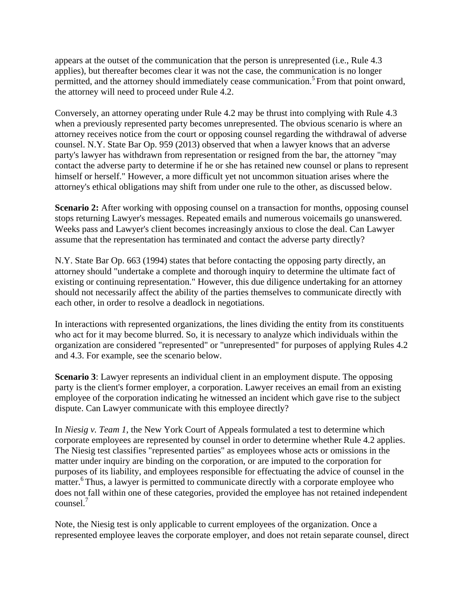appears at the outset of the communication that the person is unrepresented (i.e., Rule 4.3 applies), but thereafter becomes clear it was not the case, the communication is no longer permitted, and the attorney should immediately cease communication.<sup>5</sup> From that point onward, the attorney will need to proceed under Rule 4.2.

Conversely, an attorney operating under Rule 4.2 may be thrust into complying with Rule 4.3 when a previously represented party becomes unrepresented. The obvious scenario is where an attorney receives notice from the court or opposing counsel regarding the withdrawal of adverse counsel. N.Y. State Bar Op. 959 (2013) observed that when a lawyer knows that an adverse party's lawyer has withdrawn from representation or resigned from the bar, the attorney "may contact the adverse party to determine if he or she has retained new counsel or plans to represent himself or herself." However, a more difficult yet not uncommon situation arises where the attorney's ethical obligations may shift from under one rule to the other, as discussed below.

**Scenario 2:** After working with opposing counsel on a transaction for months, opposing counsel stops returning Lawyer's messages. Repeated emails and numerous voicemails go unanswered. Weeks pass and Lawyer's client becomes increasingly anxious to close the deal. Can Lawyer assume that the representation has terminated and contact the adverse party directly?

N.Y. State Bar Op. 663 (1994) states that before contacting the opposing party directly, an attorney should "undertake a complete and thorough inquiry to determine the ultimate fact of existing or continuing representation." However, this due diligence undertaking for an attorney should not necessarily affect the ability of the parties themselves to communicate directly with each other, in order to resolve a deadlock in negotiations.

In interactions with represented organizations, the lines dividing the entity from its constituents who act for it may become blurred. So, it is necessary to analyze which individuals within the organization are considered "represented" or "unrepresented" for purposes of applying Rules 4.2 and 4.3. For example, see the scenario below.

**Scenario 3**: Lawyer represents an individual client in an employment dispute. The opposing party is the client's former employer, a corporation. Lawyer receives an email from an existing employee of the corporation indicating he witnessed an incident which gave rise to the subject dispute. Can Lawyer communicate with this employee directly?

In *Niesig v. Team 1*, the New York Court of Appeals formulated a test to determine which corporate employees are represented by counsel in order to determine whether Rule 4.2 applies. The Niesig test classifies "represented parties" as employees whose acts or omissions in the matter under inquiry are binding on the corporation, or are imputed to the corporation for purposes of its liability, and employees responsible for effectuating the advice of counsel in the matter.<sup>6</sup> Thus, a lawyer is permitted to communicate directly with a corporate employee who does not fall within one of these categories, provided the employee has not retained independent counsel.7

Note, the Niesig test is only applicable to current employees of the organization. Once a represented employee leaves the corporate employer, and does not retain separate counsel, direct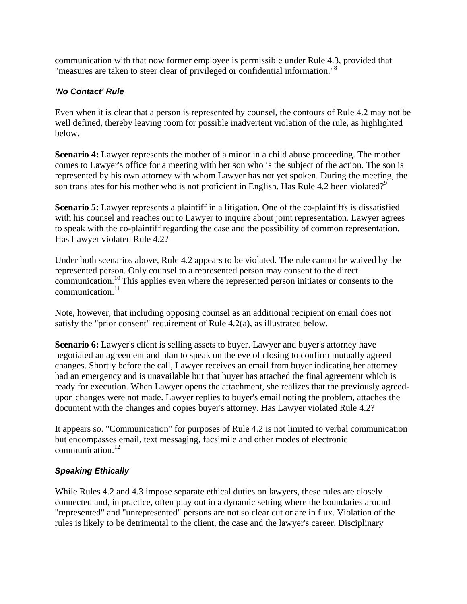communication with that now former employee is permissible under Rule 4.3, provided that "measures are taken to steer clear of privileged or confidential information."8

#### *'No Contact' Rule*

Even when it is clear that a person is represented by counsel, the contours of Rule 4.2 may not be well defined, thereby leaving room for possible inadvertent violation of the rule, as highlighted below.

**Scenario 4:** Lawyer represents the mother of a minor in a child abuse proceeding. The mother comes to Lawyer's office for a meeting with her son who is the subject of the action. The son is represented by his own attorney with whom Lawyer has not yet spoken. During the meeting, the son translates for his mother who is not proficient in English. Has Rule 4.2 been violated?<sup>9</sup>

**Scenario 5:** Lawyer represents a plaintiff in a litigation. One of the co-plaintiffs is dissatisfied with his counsel and reaches out to Lawyer to inquire about joint representation. Lawyer agrees to speak with the co-plaintiff regarding the case and the possibility of common representation. Has Lawyer violated Rule 4.2?

Under both scenarios above, Rule 4.2 appears to be violated. The rule cannot be waived by the represented person. Only counsel to a represented person may consent to the direct communication.10 This applies even where the represented person initiates or consents to the  $commu$ nication $11$ 

Note, however, that including opposing counsel as an additional recipient on email does not satisfy the "prior consent" requirement of Rule 4.2(a), as illustrated below.

**Scenario 6:** Lawyer's client is selling assets to buyer. Lawyer and buyer's attorney have negotiated an agreement and plan to speak on the eve of closing to confirm mutually agreed changes. Shortly before the call, Lawyer receives an email from buyer indicating her attorney had an emergency and is unavailable but that buyer has attached the final agreement which is ready for execution. When Lawyer opens the attachment, she realizes that the previously agreedupon changes were not made. Lawyer replies to buyer's email noting the problem, attaches the document with the changes and copies buyer's attorney. Has Lawyer violated Rule 4.2?

It appears so. "Communication" for purposes of Rule 4.2 is not limited to verbal communication but encompasses email, text messaging, facsimile and other modes of electronic communication.12

#### *Speaking Ethically*

While Rules 4.2 and 4.3 impose separate ethical duties on lawyers, these rules are closely connected and, in practice, often play out in a dynamic setting where the boundaries around "represented" and "unrepresented" persons are not so clear cut or are in flux. Violation of the rules is likely to be detrimental to the client, the case and the lawyer's career. Disciplinary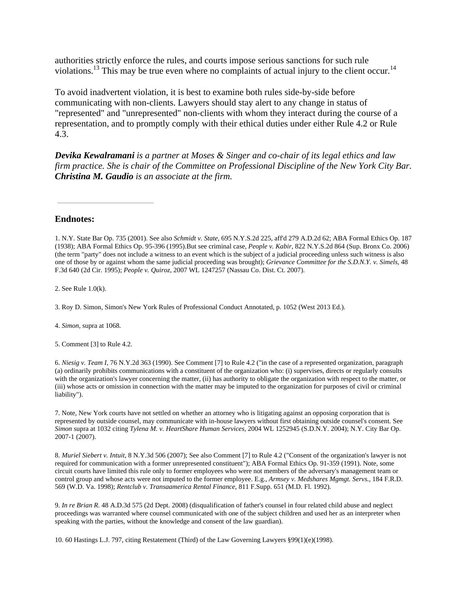authorities strictly enforce the rules, and courts impose serious sanctions for such rule violations.<sup>13</sup> This may be true even where no complaints of actual injury to the client occur.<sup>14</sup>

To avoid inadvertent violation, it is best to examine both rules side-by-side before communicating with non-clients. Lawyers should stay alert to any change in status of "represented" and "unrepresented" non-clients with whom they interact during the course of a representation, and to promptly comply with their ethical duties under either Rule 4.2 or Rule 4.3.

*Devika Kewalramani is a partner at Moses & Singer and co-chair of its legal ethics and law firm practice. She is chair of the Committee on Professional Discipline of the New York City Bar. Christina M. Gaudio is an associate at the firm.*

**Endnotes:**

2. See Rule 1.0(k).

3. Roy D. Simon, Simon's New York Rules of Professional Conduct Annotated, p. 1052 (West 2013 Ed.).

4. *Simon,* supra at 1068.

5. Comment [3] to Rule 4.2.

6. *Niesig v. Team I,* 76 N.Y.2d 363 (1990). See Comment [7] to Rule 4.2 ("in the case of a represented organization, paragraph (a) ordinarily prohibits communications with a constituent of the organization who: (i) supervises, directs or regularly consults with the organization's lawyer concerning the matter, (ii) has authority to obligate the organization with respect to the matter, or (iii) whose acts or omission in connection with the matter may be imputed to the organization for purposes of civil or criminal liability").

7. Note, New York courts have not settled on whether an attorney who is litigating against an opposing corporation that is represented by outside counsel, may communicate with in-house lawyers without first obtaining outside counsel's consent. See *Simon* supra at 1032 citing *Tylena M. v. HeartShare Human Services*, 2004 WL 1252945 (S.D.N.Y. 2004); N.Y. City Bar Op. 2007-1 (2007).

8. *Muriel Siebert v. Intuit*, 8 N.Y.3d 506 (2007); See also Comment [7] to Rule 4.2 ("Consent of the organization's lawyer is not required for communication with a former unrepresented constituent"); ABA Formal Ethics Op. 91-359 (1991). Note, some circuit courts have limited this rule only to former employees who were not members of the adversary's management team or control group and whose acts were not imputed to the former employee. E.g., *Armsey v. Medshares Mgmgt. Servs.,* 184 F.R.D. 569 (W.D. Va. 1998); *Rentclub v. Transaamerica Rental Finance*, 811 F.Supp. 651 (M.D. Fl. 1992).

9. *In re Brian R.* 48 A.D.3d 575 (2d Dept. 2008) (disqualification of father's counsel in four related child abuse and neglect proceedings was warranted where counsel communicated with one of the subject children and used her as an interpreter when speaking with the parties, without the knowledge and consent of the law guardian).

10. 60 Hastings L.J. 797, citing Restatement (Third) of the Law Governing Lawyers §99(1)(e)(1998).

<sup>1.</sup> N.Y. State Bar Op. 735 (2001). See also *Schmidt v. State*, 695 N.Y.S.2d 225, aff'd 279 A.D.2d 62; ABA Formal Ethics Op. 187 (1938); ABA Formal Ethics Op. 95-396 (1995).But see criminal case, *People v. Kabir*, 822 N.Y.S.2d 864 (Sup. Bronx Co. 2006) (the term "party" does not include a witness to an event which is the subject of a judicial proceeding unless such witness is also one of those by or against whom the same judicial proceeding was brought); *Grievance Committee for the S.D.N.Y. v. Simels*, 48 F.3d 640 (2d Cir. 1995); *People v. Quiroz*, 2007 WL 1247257 (Nassau Co. Dist. Ct. 2007).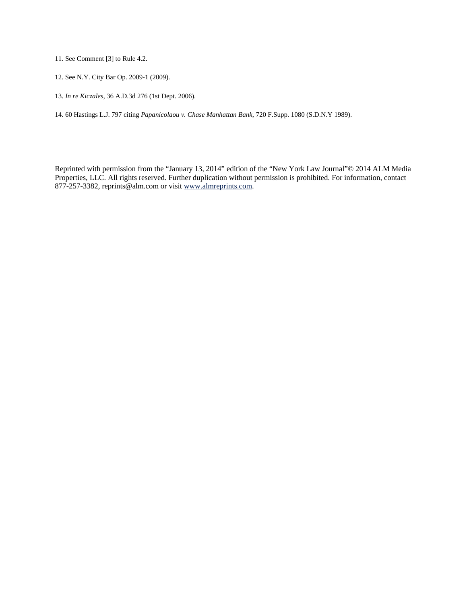11. See Comment [3] to Rule 4.2.

- 12. See N.Y. City Bar Op. 2009-1 (2009).
- 13. *In re Kiczales*, 36 A.D.3d 276 (1st Dept. 2006).

14. 60 Hastings L.J. 797 citing *Papanicolaou v. Chase Manhattan Bank*, 720 F.Supp. 1080 (S.D.N.Y 1989).

Reprinted with permission from the "January 13, 2014" edition of the "New York Law Journal"© 2014 ALM Media Properties, LLC. All rights reserved. Further duplication without permission is prohibited. For information, contact 877-257-3382, reprints@alm.com or visit www.almreprints.com.